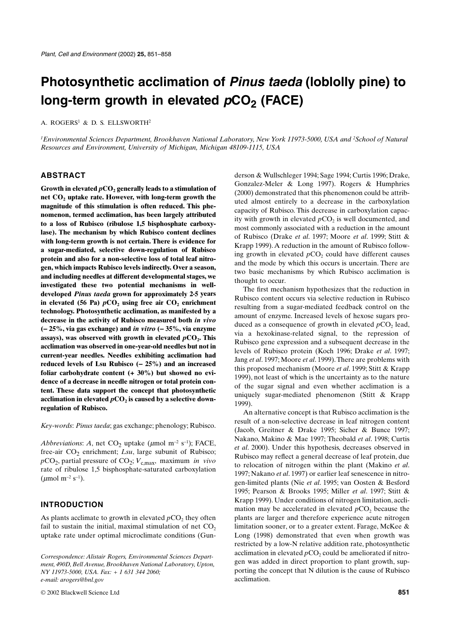# **Photosynthetic acclimation of** *Pinus taeda* **(loblolly pine) to**  long-term growth in elevated  $pCO<sub>2</sub>$  (FACE)

A. ROGERS<sup>1</sup> & D. S. ELLSWORTH<sup>2</sup>

*1Environmental Sciences Department, Brookhaven National Laboratory, New York 11973-5000, USA and 2School of Natural Resources and Environment, University of Michigan, Michigan 48109-1115, USA*

#### **ABSTRACT**

Growth in elevated  $pCO_2$  generally leads to a stimulation of net CO<sub>2</sub> uptake rate. However, with long-term growth the **magnitude of this stimulation is often reduced. This phenomenon, termed acclimation, has been largely attributed to a loss of Rubisco (ribulose 1,5 bisphosphate carboxylase). The mechanism by which Rubisco content declines with long-term growth is not certain. There is evidence for a sugar-mediated, selective down-regulation of Rubisco protein and also for a non-selective loss of total leaf nitrogen, which impacts Rubisco levels indirectly. Over a season, and including needles at different developmental stages, we investigated these two potential mechanisms in welldeveloped** *Pinus taeda* **grown for approximately 2·5 years** in elevated (56 Pa)  $pCO<sub>2</sub>$  using free air  $CO<sub>2</sub>$  enrichment **technology. Photosynthetic acclimation, as manifested by a decrease in the activity of Rubisco measured both** *in vivo* **(** − **25%, via gas exchange) and** *in vitro* **(** − **35%, via enzyme** assays), was observed with growth in elevated  $pCO<sub>2</sub>$ . This **acclimation was observed in one-year-old needles but not in current-year needles. Needles exhibiting acclimation had reduced levels of Lsu Rubisco (** − **25%) and an increased foliar carbohydrate content (+ 30%) but showed no evidence of a decrease in needle nitrogen or total protein content. These data support the concept that photosynthetic** acclimation in elevated  $pCO<sub>2</sub>$  is caused by a selective down**regulation of Rubisco.**

*Key-words*: *Pinus taeda*; gas exchange; phenology; Rubisco.

*Abbreviations*: *A*, net CO<sub>2</sub> uptake ( $\mu$ mol m<sup>-2</sup> s<sup>-1</sup>); FACE, free-air CO<sub>2</sub> enrichment; *Lsu*, large subunit of Rubisco;  $pCO_2$ , partial pressure of  $CO_2$ ;  $V_{c,max}$ , maximum *in vivo* rate of ribulose 1,5 bisphosphate-saturated carboxylation  $(\mu \text{mol m}^{-2} \text{ s}^{-1}).$ 

# **INTRODUCTION**

As plants acclimate to growth in elevated  $pCO<sub>2</sub>$ , they often fail to sustain the initial, maximal stimulation of net  $CO<sub>2</sub>$ uptake rate under optimal microclimate conditions (Gun-

*Correspondence: Alistair Rogers, Environmental Sciences Department, 490D, Bell Avenue, Brookhaven National Laboratory, Upton, NY 11973-5000, USA. Fax: + 1 631 344 2060; e-mail: arogers@bnl.gov*

© 2002 Blackwell Science Ltd **851**

derson & Wullschleger 1994; Sage 1994; Curtis 1996; Drake, Gonzalez-Meler & Long 1997). Rogers & Humphries (2000) demonstrated that this phenomenon could be attributed almost entirely to a decrease in the carboxylation capacity of Rubisco. This decrease in carboxylation capacity with growth in elevated  $pCO<sub>2</sub>$  is well documented, and most commonly associated with a reduction in the amount of Rubisco (Drake *et al*. 1997; Moore *et al*. 1999; Stitt & Krapp 1999). A reduction in the amount of Rubisco following growth in elevated  $pCO<sub>2</sub>$  could have different causes and the mode by which this occurs is uncertain. There are two basic mechanisms by which Rubisco acclimation is thought to occur.

The first mechanism hypothesizes that the reduction in Rubisco content occurs via selective reduction in Rubisco resulting from a sugar-mediated feedback control on the amount of enzyme. Increased levels of hexose sugars produced as a consequence of growth in elevated  $pCO<sub>2</sub>$  lead, via a hexokinase-related signal, to the repression of Rubisco gene expression and a subsequent decrease in the levels of Rubisco protein (Koch 1996; Drake *et al*. 1997; Jang *et al*. 1997; Moore *et al*. 1999). There are problems with this proposed mechanism (Moore *et al*. 1999; Stitt & Krapp 1999), not least of which is the uncertainty as to the nature of the sugar signal and even whether acclimation is a uniquely sugar-mediated phenomenon (Stitt & Krapp 1999).

An alternative concept is that Rubisco acclimation is the result of a non-selective decrease in leaf nitrogen content (Jacob, Greitner & Drake 1995; Sicher & Bunce 1997; Nakano, Makino & Mae 1997; Theobald *et al*. 1998; Curtis *et al*. 2000). Under this hypothesis, decreases observed in Rubisco may reflect a general decrease of leaf protein, due to relocation of nitrogen within the plant (Makino *et al*. 1997; Nakano *et al*. 1997) or earlier leaf senescence in nitrogen-limited plants (Nie *et al*. 1995; van Oosten & Besford 1995; Pearson & Brooks 1995; Miller *et al*. 1997; Stitt & Krapp 1999). Under conditions of nitrogen limitation, acclimation may be accelerated in elevated  $pCO<sub>2</sub>$  because the plants are larger and therefore experience acute nitrogen limitation sooner, or to a greater extent. Farage, McKee & Long (1998) demonstrated that even when growth was restricted by a low-N relative addition rate, photosynthetic acclimation in elevated  $pCO_2$  could be ameliorated if nitrogen was added in direct proportion to plant growth, supporting the concept that N dilution is the cause of Rubisco acclimation.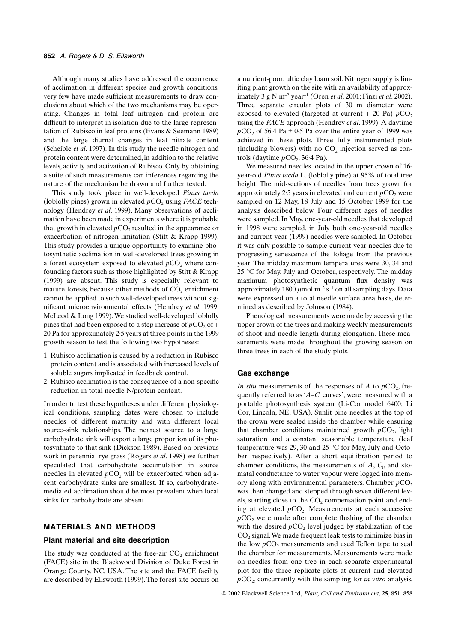Although many studies have addressed the occurrence of acclimation in different species and growth conditions, very few have made sufficient measurements to draw conclusions about which of the two mechanisms may be operating. Changes in total leaf nitrogen and protein are difficult to interpret in isolation due to the large representation of Rubisco in leaf proteins (Evans & Seemann 1989) and the large diurnal changes in leaf nitrate content (Scheible *et al*. 1997). In this study the needle nitrogen and protein content were determined, in addition to the relative levels, activity and activation of Rubisco. Only by obtaining a suite of such measurements can inferences regarding the nature of the mechanism be drawn and further tested.

This study took place in well-developed *Pinus taeda* (loblolly pines) grown in elevated  $pCO<sub>2</sub>$  using *FACE* technology (Hendrey *et al*. 1999). Many observations of acclimation have been made in experiments where it is probable that growth in elevated  $pCO_2$  resulted in the appearance or exacerbation of nitrogen limitation (Stitt & Krapp 1999). This study provides a unique opportunity to examine photosynthetic acclimation in well-developed trees growing in a forest ecosystem exposed to elevated  $pCO<sub>2</sub>$  where confounding factors such as those highlighted by Stitt & Krapp (1999) are absent. This study is especially relevant to mature forests, because other methods of  $CO<sub>2</sub>$  enrichment cannot be applied to such well-developed trees without significant microenvironmental effects (Hendrey *et al*. 1999; McLeod & Long 1999). We studied well-developed loblolly pines that had been exposed to a step increase of  $pCO<sub>2</sub>$  of + 20 Pa for approximately 2·5 years at three points in the 1999 growth season to test the following two hypotheses:

- 1 Rubisco acclimation is caused by a reduction in Rubisco protein content and is associated with increased levels of soluble sugars implicated in feedback control.
- 2 Rubisco acclimation is the consequence of a non-specific reduction in total needle N/protein content.

In order to test these hypotheses under different physiological conditions, sampling dates were chosen to include needles of different maturity and with different local source–sink relationships. The nearest source to a large carbohydrate sink will export a large proportion of its photosynthate to that sink (Dickson 1989). Based on previous work in perennial rye grass (Rogers *et al*. 1998) we further speculated that carbohydrate accumulation in source needles in elevated  $pCO$ , will be exacerbated when adjacent carbohydrate sinks are smallest. If so, carbohydratemediated acclimation should be most prevalent when local sinks for carbohydrate are absent.

# **MATERIALS AND METHODS**

#### **Plant material and site description**

The study was conducted at the free-air  $CO<sub>2</sub>$  enrichment (FACE) site in the Blackwood Division of Duke Forest in Orange County, NC, USA. The site and the FACE facility are described by Ellsworth (1999). The forest site occurs on

a nutrient-poor, ultic clay loam soil. Nitrogen supply is limiting plant growth on the site with an availability of approximately 3 g N m<sup>−</sup><sup>2</sup> year<sup>−</sup>1 (Oren *et al*. 2001; Finzi *et al*. 2002). Three separate circular plots of 30 m diameter were exposed to elevated (targeted at current  $+$  20 Pa)  $pCO<sub>2</sub>$ using the *FACE* approach (Hendrey *et al*. 1999). A daytime  $pCO<sub>2</sub>$  of 56·4 Pa  $\pm$  0·5 Pa over the entire year of 1999 was achieved in these plots. Three fully instrumented plots (including blowers) with no  $CO<sub>2</sub>$  injection served as controls (daytime  $pCO<sub>2</sub>$ , 36.4 Pa).

We measured needles located in the upper crown of 16 year-old *Pinus taeda* L. (loblolly pine) at 95% of total tree height. The mid-sections of needles from trees grown for approximately 2.5 years in elevated and current  $pCO<sub>2</sub>$  were sampled on 12 May, 18 July and 15 October 1999 for the analysis described below. Four different ages of needles were sampled. In May, one-year-old needles that developed in 1998 were sampled, in July both one-year-old needles and current-year (1999) needles were sampled. In October it was only possible to sample current-year needles due to progressing senescence of the foliage from the previous year. The midday maximum temperatures were 30, 34 and 25 °C for May, July and October, respectively. The midday maximum photosynthetic quantum flux density was approximately 1800 <sup>µ</sup>mol m<sup>−</sup><sup>2</sup> s<sup>−</sup>1 on all sampling days. Data were expressed on a total needle surface area basis, determined as described by Johnson (1984).

Phenological measurements were made by accessing the upper crown of the trees and making weekly measurements of shoot and needle length during elongation. These measurements were made throughout the growing season on three trees in each of the study plots.

#### **Gas exchange**

*In situ* measurements of the responses of *A* to  $pCO<sub>2</sub>$ , frequently referred to as '*A*–*C*<sub>i</sub> curves', were measured with a portable photosynthesis system (Li-Cor model 6400; Li Cor, Lincoln, NE, USA). Sunlit pine needles at the top of the crown were sealed inside the chamber while ensuring that chamber conditions maintained growth  $pCO<sub>2</sub>$ , light saturation and a constant seasonable temperature (leaf temperature was 29, 30 and 25 °C for May, July and October, respectively). After a short equilibration period to chamber conditions, the measurements of *A*, *C*<sup>i</sup> , and stomatal conductance to water vapour were logged into memory along with environmental parameters. Chamber  $pCO<sub>2</sub>$ was then changed and stepped through seven different levels, starting close to the  $CO<sub>2</sub>$  compensation point and ending at elevated  $pCO<sub>2</sub>$ . Measurements at each successive  $pCO<sub>2</sub>$  were made after complete flushing of the chamber with the desired  $pCO<sub>2</sub>$  level judged by stabilization of the  $CO<sub>2</sub>$  signal. We made frequent leak tests to minimize bias in the low  $pCO$ <sub>2</sub> measurements and used Teflon tape to seal the chamber for measurements. Measurements were made on needles from one tree in each separate experimental plot for the three replicate plots at current and elevated *p*CO2, concurrently with the sampling for *in vitro* analysis.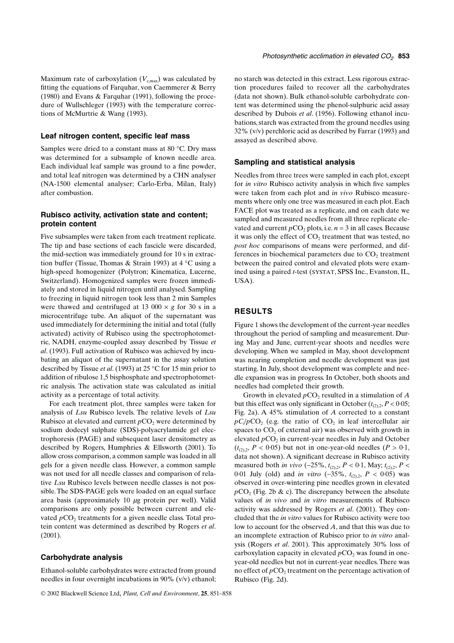#### **Leaf nitrogen content, specific leaf mass**

Samples were dried to a constant mass at 80 °C. Dry mass was determined for a subsample of known needle area. Each individual leaf sample was ground to a fine powder, and total leaf nitrogen was determined by a CHN analyser (NA-1500 elemental analyser; Carlo-Erba, Milan, Italy) after combustion.

# **Rubisco activity, activation state and content; protein content**

Five subsamples were taken from each treatment replicate. The tip and base sections of each fascicle were discarded, the mid-section was immediately ground for 10 s in extraction buffer (Tissue, Thomas & Strain 1993) at 4 °C using a high-speed homogenizer (Polytron; Kinematica, Lucerne, Switzerland). Homogenized samples were frozen immediately and stored in liquid nitrogen until analysed. Sampling to freezing in liquid nitrogen took less than 2 min Samples were thawed and centrifuged at 13 000  $\times$  *g* for 30 s in a microcentrifuge tube. An aliquot of the supernatant was used immediately for determining the initial and total (fully activated) activity of Rubisco using the spectrophotometric, NADH, enzyme-coupled assay described by Tissue *et al*. (1993). Full activation of Rubisco was achieved by incubating an aliquot of the supernatant in the assay solution described by Tissue *et al*. (1993) at 25 °C for 15 min prior to addition of ribulose 1,5 bisphosphate and spectrophotometric analysis. The activation state was calculated as initial activity as a percentage of total activity.

For each treatment plot, three samples were taken for analysis of *Lsu* Rubisco levels. The relative levels of *Lsu* Rubisco at elevated and current  $pCO<sub>2</sub>$  were determined by sodium dodecyl sulphate (SDS)-polyacrylamide gel electrophoresis (PAGE) and subsequent laser densitometry as described by Rogers, Humphries & Ellsworth (2001). To allow cross comparison, a common sample was loaded in all gels for a given needle class. However, a common sample was not used for all needle classes and comparison of relative *Lsu* Rubisco levels between needle classes is not possible. The SDS-PAGE gels were loaded on an equal surface area basis (approximately 10  $\mu$ g protein per well). Valid comparisons are only possible between current and elevated  $pCO<sub>2</sub>$  treatments for a given needle class. Total protein content was determined as described by Rogers *et al*. (2001).

#### **Carbohydrate analysis**

Ethanol-soluble carbohydrates were extracted from ground needles in four overnight incubations in 90% (v/v) ethanol;

no starch was detected in this extract. Less rigorous extraction procedures failed to recover all the carbohydrates (data not shown). Bulk ethanol-soluble carbohydrate content was determined using the phenol-sulphuric acid assay described by Dubois *et al*. (1956). Following ethanol incubations, starch was extracted from the ground needles using 32% (v/v) perchloric acid as described by Farrar (1993) and assayed as described above.

## **Sampling and statistical analysis**

Needles from three trees were sampled in each plot, except for *in vitro* Rubisco activity analysis in which five samples were taken from each plot and *in vivo* Rubisco measurements where only one tree was measured in each plot. Each FACE plot was treated as a replicate, and on each date we sampled and measured needles from all three replicate elevated and current  $pCO_2$  plots, i.e.  $n = 3$  in all cases. Because it was only the effect of  $CO<sub>2</sub>$  treatment that was tested, no *post hoc* comparisons of means were performed, and differences in biochemical parameters due to  $CO<sub>2</sub>$  treatment between the paired control and elevated plots were examined using a paired *t*-test (SYSTAT, SPSS Inc., Evanston, IL, USA).

## **RESULTS**

Figure 1 shows the development of the current-year needles throughout the period of sampling and measurement. During May and June, current-year shoots and needles were developing. When we sampled in May, shoot development was nearing completion and needle development was just starting. In July, shoot development was complete and needle expansion was in progress. In October, both shoots and needles had completed their growth.

Growth in elevated  $pCO_2$  resulted in a stimulation of  $A$ but this effect was only significant in October  $(t_{(2),2}, P < 0.05)$ ; Fig. 2a). A 45% stimulation of *A* corrected to a constant  $pC_1/pCO_2$  (e.g. the ratio of  $CO_2$  in leaf intercellular air spaces to  $CO<sub>2</sub>$  of external air) was observed with growth in elevated *pCO*<sub>2</sub> in current-year needles in July and October  $(t_{(2),2}, P < 0.05)$  but not in one-year-old needles  $(P > 0.1,$ data not shown). A significant decrease in Rubisco activity measured both *in vivo* (−25%,  $t_{(2),2}$ ,  $P$  < 0·1, May;  $t_{(2),2}$ ,  $P$  < 0·01 July (old) and *in vitro* (−35%, *t*(2),2, *P* < 0·05) was observed in over-wintering pine needles grown in elevated  $pCO<sub>2</sub>$  (Fig. 2b & c). The discrepancy between the absolute values of *in vivo* and *in vitro* measurements of Rubisco activity was addressed by Rogers *et al*. (2001). They concluded that the *in vitro* values for Rubisco activity were too low to account for the observed *A*, and that this was due to an incomplete extraction of Rubisco prior to *in vitro* analysis (Rogers *et al*. 2001). This approximately 30% loss of carboxylation capacity in elevated  $pCO<sub>2</sub>$  was found in oneyear-old needles but not in current-year needles. There was no effect of  $pCO<sub>2</sub>$  treatment on the percentage activation of Rubisco (Fig. 2d).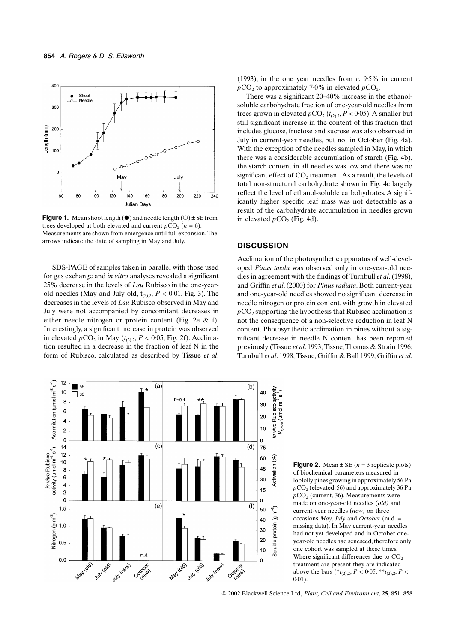

**Figure 1.** Mean shoot length  $(\bullet)$  and needle length  $(\circ) \pm SE$  from trees developed at both elevated and current  $pCO_2$  ( $n = 6$ ). Measurements are shown from emergence until full expansion. The arrows indicate the date of sampling in May and July.

SDS-PAGE of samples taken in parallel with those used for gas exchange and *in vitro* analyses revealed a significant 25% decrease in the levels of *Lsu* Rubisco in the one-yearold needles (May and July old,  $t_{(2),2}$ ,  $P < 0.01$ , Fig. 3). The decreases in the levels of *Lsu* Rubisco observed in May and July were not accompanied by concomitant decreases in either needle nitrogen or protein content (Fig. 2e & f). Interestingly, a significant increase in protein was observed in elevated  $pCO_2$  in May ( $t_{(2),2}$ ,  $P < 0.05$ ; Fig. 2f). Acclimation resulted in a decrease in the fraction of leaf N in the form of Rubisco, calculated as described by Tissue *et al*.

(1993), in the one year needles from *c*. 9·5% in current  $pCO<sub>2</sub>$  to approximately 7·0% in elevated  $pCO<sub>2</sub>$ .

There was a significant 20–40% increase in the ethanolsoluble carbohydrate fraction of one-year-old needles from trees grown in elevated  $pCO_2(t_{(2),2}, P < 0.05)$ . A smaller but still significant increase in the content of this fraction that includes glucose, fructose and sucrose was also observed in July in current-year needles, but not in October (Fig. 4a). With the exception of the needles sampled in May, in which there was a considerable accumulation of starch (Fig. 4b), the starch content in all needles was low and there was no significant effect of  $CO<sub>2</sub>$  treatment. As a result, the levels of total non-structural carbohydrate shown in Fig. 4c largely reflect the level of ethanol-soluble carbohydrates. A significantly higher specific leaf mass was not detectable as a result of the carbohydrate accumulation in needles grown in elevated  $pCO<sub>2</sub>$  (Fig. 4d).

# **DISCUSSION**

Acclimation of the photosynthetic apparatus of well-developed *Pinus taeda* was observed only in one-year-old needles in agreement with the findings of Turnbull *et al*. (1998), and Griffin *et al*. (2000) for *Pinus radiata*. Both current-year and one-year-old needles showed no significant decrease in needle nitrogen or protein content, with growth in elevated  $pCO<sub>2</sub>$  supporting the hypothesis that Rubisco acclimation is not the consequence of a non-selective reduction in leaf N content. Photosynthetic acclimation in pines without a significant decrease in needle N content has been reported previously (Tissue *et al*. 1993; Tissue, Thomas & Strain 1996; Turnbull *et al*. 1998; Tissue, Griffin & Ball 1999; Griffin *et al*.



**Figure 2.** Mean  $\pm$  SE ( $n = 3$  replicate plots) of biochemical parameters measured in loblolly pines growing in approximately 56 Pa  $pCO<sub>2</sub>$  (elevated, 56) and approximately 36 Pa *p*CO<sub>2</sub> (current, 36). Measurements were made on one-year-old needles (*old)* and current-year needles (*new)* on three occasions *May*, *July* and *October* (m.d. = missing data). In May current-year needles had not yet developed and in October oneyear-old needles had senesced, therefore only one cohort was sampled at these times. Where significant differences due to  $CO<sub>2</sub>$ treatment are present they are indicated above the bars (\* $t_{(2),2}$ , *P* < 0.05; \*\* $t_{(2),2}$ , *P* <  $0.01$ ).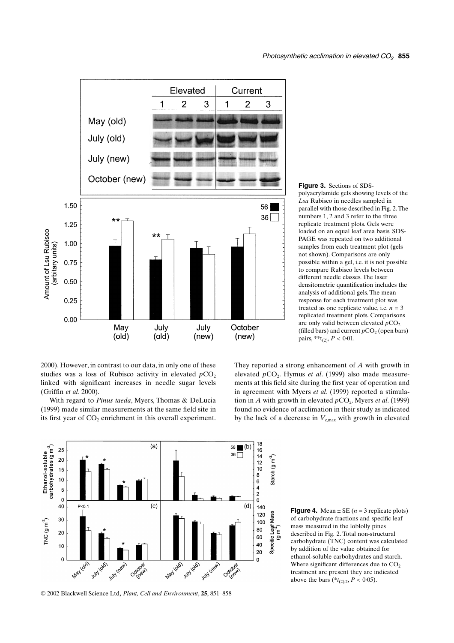

**Figure 3.** Sections of SDSpolyacrylamide gels showing levels of the *Lsu* Rubisco in needles sampled in parallel with those described in Fig. 2. The numbers 1, 2 and 3 refer to the three replicate treatment plots. Gels were loaded on an equal leaf area basis. SDS-PAGE was repeated on two additional samples from each treatment plot (gels not shown). Comparisons are only possible within a gel, i.e. it is not possible to compare Rubisco levels between different needle classes. The laser densitometric quantification includes the analysis of additional gels. The mean response for each treatment plot was treated as one replicate value, i.e.  $n = 3$ replicated treatment plots. Comparisons are only valid between elevated  $pCO<sub>2</sub>$ (filled bars) and current  $pCO<sub>2</sub>$  (open bars) pairs, \*\*t<sub>(2)</sub>,  $P < 0.01$ .

2000). However, in contrast to our data, in only one of these studies was a loss of Rubisco activity in elevated  $pCO<sub>2</sub>$ linked with significant increases in needle sugar levels (Griffin *et al*. 2000).

With regard to *Pinus taeda*, Myers, Thomas & DeLucia (1999) made similar measurements at the same field site in its first year of  $CO<sub>2</sub>$  enrichment in this overall experiment.





**Figure 4.** Mean  $\pm$  SE ( $n = 3$  replicate plots) of carbohydrate fractions and specific leaf mass measured in the loblolly pines described in Fig. 2. Total non-structural carbohydrate (TNC) content was calculated by addition of the value obtained for ethanol-soluble carbohydrates and starch. Where significant differences due to  $CO<sub>2</sub>$ treatment are present they are indicated above the bars ( $*_{t_{(2),2}}$ ,  $P < 0.05$ ).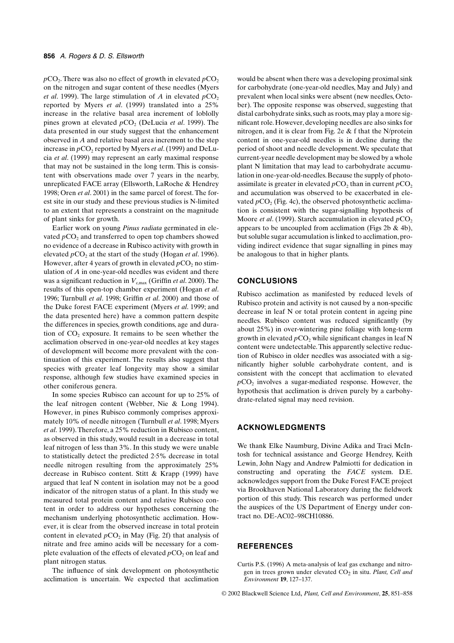$pCO<sub>2</sub>$ . There was also no effect of growth in elevated  $pCO<sub>2</sub>$ on the nitrogen and sugar content of these needles (Myers *et al.* 1999). The large stimulation of *A* in elevated  $pCO_2$ reported by Myers *et al*. (1999) translated into a 25% increase in the relative basal area increment of loblolly pines grown at elevated  $pCO<sub>2</sub>$  (DeLucia *et al.* 1999). The data presented in our study suggest that the enhancement observed in *A* and relative basal area increment to the step increase in  $pCO_2$  reported by Myers *et al.* (1999) and DeLucia *et al*. (1999) may represent an early maximal response that may not be sustained in the long term. This is consistent with observations made over 7 years in the nearby, unreplicated FACE array (Ellsworth, LaRoche & Hendrey 1998; Oren *et al*. 2001) in the same parcel of forest. The forest site in our study and these previous studies is N-limited to an extent that represents a constraint on the magnitude of plant sinks for growth.

Earlier work on young *Pinus radiata* germinated in elevated  $pCO<sub>2</sub>$  and transferred to open top chambers showed no evidence of a decrease in Rubisco activity with growth in elevated *p*CO<sub>2</sub> at the start of the study (Hogan *et al.* 1996). However, after 4 years of growth in elevated  $pCO<sub>2</sub>$  no stimulation of *A* in one-year-old needles was evident and there was a significant reduction in  $V_{\text{c,max}}$  (Griffin *et al.* 2000). The results of this open-top chamber experiment (Hogan *et al*. 1996; Turnbull *et al*. 1998; Griffin *et al*. 2000) and those of the Duke forest FACE experiment (Myers *et al*. 1999; and the data presented here) have a common pattern despite the differences in species, growth conditions, age and duration of  $CO<sub>2</sub>$  exposure. It remains to be seen whether the acclimation observed in one-year-old needles at key stages of development will become more prevalent with the continuation of this experiment. The results also suggest that species with greater leaf longevity may show a similar response, although few studies have examined species in other coniferous genera.

In some species Rubisco can account for up to 25% of the leaf nitrogen content (Webber, Nie & Long 1994). However, in pines Rubisco commonly comprises approximately 10% of needle nitrogen (Turnbull *et al*. 1998; Myers *et al*. 1999). Therefore, a 25% reduction in Rubisco content, as observed in this study, would result in a decrease in total leaf nitrogen of less than 3%. In this study we were unable to statistically detect the predicted 2·5% decrease in total needle nitrogen resulting from the approximately 25% decrease in Rubisco content. Stitt & Krapp (1999) have argued that leaf N content in isolation may not be a good indicator of the nitrogen status of a plant. In this study we measured total protein content and relative Rubisco content in order to address our hypotheses concerning the mechanism underlying photosynthetic acclimation. However, it is clear from the observed increase in total protein content in elevated  $pCO<sub>2</sub>$  in May (Fig. 2f) that analysis of nitrate and free amino acids will be necessary for a complete evaluation of the effects of elevated  $pCO<sub>2</sub>$  on leaf and plant nitrogen status.

The influence of sink development on photosynthetic acclimation is uncertain. We expected that acclimation would be absent when there was a developing proximal sink for carbohydrate (one-year-old needles, May and July) and prevalent when local sinks were absent (new needles, October). The opposite response was observed, suggesting that distal carbohydrate sinks, such as roots, may play a more significant role. However, developing needles are also sinks for nitrogen, and it is clear from Fig. 2e & f that the N/protein content in one-year-old needles is in decline during the period of shoot and needle development. We speculate that current-year needle development may be slowed by a whole plant N limitation that may lead to carbohydrate accumulation in one-year-old-needles. Because the supply of photoassimilate is greater in elevated  $pCO<sub>2</sub>$ , than in current  $pCO<sub>2</sub>$ and accumulation was observed to be exacerbated in elevated  $pCO<sub>2</sub>$  (Fig. 4c), the observed photosynthetic acclimation is consistent with the sugar-signalling hypothesis of Moore *et al.* (1999). Starch accumulation in elevated  $pCO<sub>2</sub>$ appears to be uncoupled from acclimation (Figs  $2b \& 4b$ ), but soluble sugar accumulation is linked to acclimation, providing indirect evidence that sugar signalling in pines may be analogous to that in higher plants.

## **CONCLUSIONS**

Rubisco acclimation as manifested by reduced levels of Rubisco protein and activity is not caused by a non-specific decrease in leaf N or total protein content in ageing pine needles. Rubisco content was reduced significantly (by about 25%) in over-wintering pine foliage with long-term growth in elevated  $pCO<sub>2</sub>$  while significant changes in leaf N content were undetectable. This apparently selective reduction of Rubisco in older needles was associated with a significantly higher soluble carbohydrate content, and is consistent with the concept that acclimation to elevated  $pCO<sub>2</sub>$  involves a sugar-mediated response. However, the hypothesis that acclimation is driven purely by a carbohydrate-related signal may need revision.

#### **ACKNOWLEDGMENTS**

We thank Elke Naumburg, Divine Adika and Traci McIntosh for technical assistance and George Hendrey, Keith Lewin, John Nagy and Andrew Palmiotti for dedication in constructing and operating the *FACE* system. D.E. acknowledges support from the Duke Forest FACE project via Brookhaven National Laboratory during the fieldwork portion of this study. This research was performed under the auspices of the US Department of Energy under contract no. DE-AC02–98CH10886.

# **REFERENCES**

Curtis P.S. (1996) A meta-analysis of leaf gas exchange and nitrogen in trees grown under elevated CO<sub>2</sub> in situ. Plant, Cell and *Environment* **19**, 127–137.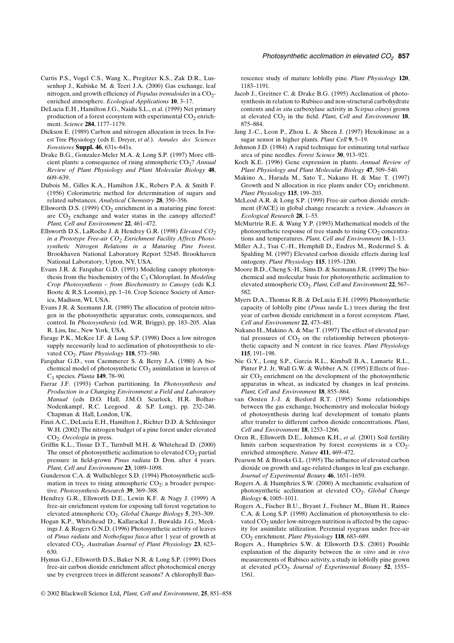- Curtis P.S., Vogel C.S., Wang X., Pregitzer K.S., Zak D.R., Lussenhop J., Kubiske M. & Teeri J.A. (2000) Gas exchange, leaf nitrogen, and growth efficiency of *Populus tremuloides* in a CO<sub>2</sub>enriched atmosphere. *Ecological Applications* **10**, 3–17.
- DeLucia E.H., Hamilton J.G., Naidu S.L., et al. (1999) Net primary production of a forest ecosystem with experimental  $CO<sub>2</sub>$  enrichment. *Science* **284**, 1177–1179.
- Dickson E. (1989) Carbon and nitrogen allocation in trees. In Forest Tree Physiology (eds E. Dreyer, *et al*.). *Annales des Sciences Forestieres* **Suppl. 46**, 631s–641s.
- Drake B.G., Gonzalez-Meler M.A. & Long S.P. (1997) More efficient plants: a consequence of rising atmospheric CO<sub>2</sub>? Annual *Review of Plant Physiology and Plant Molecular Biology* **48**, 609–639.
- Dubois M., Gilles K.A., Hamilton J.K., Rebers P.A. & Smith F. (1956) Colorimetric method for determination of sugars and related substances. *Analytical Chemistry* **28**, 350–356.
- Ellsworth D.S. (1999)  $CO<sub>2</sub>$  enrichment in a maturing pine forest: are  $CO<sub>2</sub>$  exchange and water status in the canopy affected? *Plant, Cell and Environment* **22**, 461–472.
- Ellsworth D.S., LaRoche J. & Hendrey G.R. (1998) *Elevated CO*<sub>2</sub> in a Prototype Free-air CO<sub>2</sub> Enrichment Facility Affects Photo*synthetic Nitrogen Relations in a Maturing Pine Forest*. Brookhaven National Laboratory Report 52545. Brookhaven National Laboratory, Upton, NY, USA.
- Evans J.R. & Farquhar G.D. (1991) Modeling canopy photosynthesis from the biochemistry of the C<sub>3</sub> Chloroplast. In *Modeling Crop Photosynthesis – from Biochemistry to Canopy* (eds K.J. Boote & R.S. Loomis), pp. 1–16. Crop Science Society of America, Madison, WI, USA.
- Evans J.R. & Seemann J.R. (1989) The allocation of protein nitrogen in the photosynthetic apparatus: costs, consequences, and control. In *Photosynthesis* (ed. W.R. Briggs), pp. 183–205. Alan R. Liss, Inc., New York, USA.
- Farage P.K., McKee I.F. & Long S.P. (1998) Does a low nitrogen supply necessarily lead to acclimation of photosynthesis to elevated CO<sub>2</sub>. *Plant Physiology* 118, 573-580.
- Farquhar G.D., von Caemmerer S. & Berry J.A. (1980) A biochemical model of photosynthetic  $CO<sub>2</sub>$  assimilation in leaves of C3 species. *Planta* **149**, 78–90.
- Farrar J.F. (1993) Carbon partitioning. In *Photosynthesis and Production in a Changing Environment: a Field and Laboratory Manual* (eds D.O. Hall, J.M.O. Scurlock, H.R. Bolhar-Nodenkampf, R.C. Leegood & S.P. Long), pp. 232–246. Chapman & Hall, London, UK.
- Finzi A.C., DeLucia E.H., Hamilton J., Richter D.D. & Schlesinger W.H. (2002) The nitrogen budget of a pine forest under elevated CO<sub>2</sub>. *Oecologia* in press.
- Griffin K.L., Tissue D.T., Turnbull M.H. & Whitehead D. (2000) The onset of photosynthetic acclimation to elevated  $CO<sub>2</sub>$  partial pressure in field-grown *Pinus radiata* D. Don. after 4 years. *Plant, Cell and Environment* **23**, 1089–1098.
- Gunderson C.A. & Wullschleger S.D. (1994) Photosynthetic acclimation in trees to rising atmospheric  $CO<sub>2</sub>$ : a broader perspective. *Photosynthesis Research* **39**, 369–388.
- Hendrey G.R., Ellsworth D.E., Lewin K.F. & Nagy J. (1999) A free-air enrichment system for exposing tall forest vegetation to elevated atmospheric CO2. *Global Change Biology* **5**, 293–309.
- Hogan K.P., Whitehead D., Kallarackal J., Buwalda J.G., Meekings J. & Rogers G.N.D. (1996) Photosynthetic activity of leaves of *Pinus radiata* and *Nothofagus fusca* after 1 year of growth at elevated CO<sub>2</sub>. Australian Journal of Plant Physiology 23, 623– 630.
- Hymus G.J., Ellsworth D.S., Baker N.R. & Long S.P. (1999) Does free-air carbon dioxide enrichment affect photochemical energy use by evergreen trees in different seasons? A chlorophyll fluo-

rescence study of mature loblolly pine. *Plant Physiology* **120**, 1183–1191.

- Jacob J., Greitner C. & Drake B.G. (1995) Acclimation of photosynthesis in relation to Rubisco and non-structural carbohydrate contents and *in situ* carboxylase activity in *Scirpus olneyi* grown at elevated CO<sub>2</sub> in the field. *Plant, Cell and Environment* 18, 875–884.
- Jang J.-C., Leon P., Zhou L. & Sheen J. (1997) Hexokinase as a sugar sensor in higher plants. *Plant Cell* **9**, 5–19.
- Johnson J.D. (1984) A rapid technique for estimating total surface area of pine needles. *Forest Science* **30**, 913–921.
- Koch K.E. (1996) Gene expression in plants. *Annual Review of Plant Physiology and Plant Molecular Biology* **47**, 509–540.
- Makino A., Harada M., Sato T., Nakano H. & Mae T. (1997) Growth and N allocation in rice plants under  $CO<sub>2</sub>$  enrichment. *Plant Physiology* **115**, 199–203.
- McLeod A.R. & Long S.P. (1999) Free-air carbon dioxide enrichment (FACE) in global change research: a review. *Advances in Ecological Research* **28**, 1–55.
- McMurtrie R.E. & Wang Y.P. (1993) Mathematical models of the photosynthetic response of tree stands to rising  $CO<sub>2</sub>$  concentrations and temperatures. *Plant, Cell and Environment* **16**, 1–13.
- Miller A.J., Tsai C.-H., Hemphill D., Endres M., Rodermel S. & Spalding M. (1997) Elevated carbon dioxide effects during leaf ontogeny. *Plant Physiology* **115**, 1195–1200.
- Moore B.D., Cheng S.-H., Sims D. & Seemann J.R. (1999) The biochemical and molecular basis for photosynthetic acclimation to elevated atmospheric CO<sub>2</sub>. Plant, Cell and Environment 22, 567-582.
- Myers D.A., Thomas R.B. & DeLucia E.H. (1999) Photosynthetic capacity of loblolly pine (*Pinus taeda* L.) trees during the first year of carbon dioxide enrichment in a forest ecosystem. *Plant, Cell and Environment* **22**, 473–481.
- Nakano H., Makino A. & Mae T. (1997) The effect of elevated partial pressures of  $CO<sub>2</sub>$  on the relationship between photosynthetic capacity and N content in rice leaves. *Plant Physiology* **115**, 191–198.
- Nie G.Y., Long S.P., Garcia R.L., Kimball B.A., Lamarte R.L., Pinter P.J. Jr, Wall G.W. & Webber A.N. (1995) Effects of freeair  $CO<sub>2</sub>$  enrichment on the development of the photosynthetic apparatus in wheat, as indicated by changes in leaf proteins. *Plant, Cell and Environment* **18**, 855–864.
- van Oosten J.-J. & Besford R.T. (1995) Some relationships between the gas exchange, biochemistry and molecular biology of photosynthesis during leaf development of tomato plants after transfer to different carbon dioxide concentrations. *Plant, Cell and Environment* **18**, 1253–1266.
- Oren R., Ellsworth D.E., Johnsen K.H., *et al.* (2001) Soil fertility limits carbon sequestration by forest ecosystems in a  $CO<sub>2</sub>$ enriched atmosphere. *Nature* **411**, 469–472.
- Pearson M. & Brooks G.L. (1995) The influence of elevated carbon dioxide on growth and age-related changes in leaf gas exchange. *Journal of Experimental Botany* **46**, 1651–1659.
- Rogers A. & Humphries S.W. (2000) A mechanistic evaluation of photosynthetic acclimation at elevated CO<sub>2</sub>. *Global Change Biology* **6**, 1005–1011.
- Rogers A., Fischer B.U., Bryant J., Frehner M., Blum H., Raines C.A. & Long S.P. (1998) Acclimation of photosynthesis to elevated  $CO<sub>2</sub>$  under low-nitrogen nutrition is affected by the capacity for assimilate utilization. Perennial ryegrass under free-air CO2 enrichment. *Plant Physiology* **118**, 683–689.
- Rogers A., Humphries S.W. & Ellsworth D.S. (2001) Possible explanation of the disparity between the *in vitro* and *in vivo* measurements of Rubisco activity, a study in loblolly pine grown at elevated *pCO*<sub>2</sub>. *Journal of Experimental Botany* 52, 1555– 1561.
- © 2002 Blackwell Science Ltd, *Plant, Cell and Environment*, **25**, 851–858